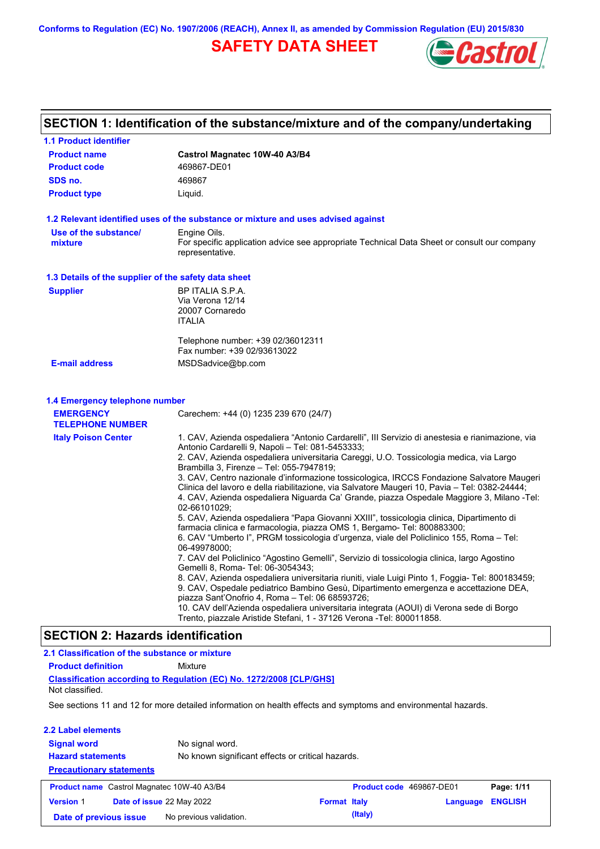**Conforms to Regulation (EC) No. 1907/2006 (REACH), Annex II, as amended by Commission Regulation (EU) 2015/830**

# **SAFETY DATA SHEET**



# **SECTION 1: Identification of the substance/mixture and of the company/undertaking**

| 1.1 Product identifier                                                        |                                                                                                                                                                                                                                                                                                                                                                                                                                                                                                                                                                                                                                                                                                                                                                                                                                                                                                                                                                                                                                                                                                                                                                                                                                                                                                                                                                                                                                              |  |  |  |  |  |  |
|-------------------------------------------------------------------------------|----------------------------------------------------------------------------------------------------------------------------------------------------------------------------------------------------------------------------------------------------------------------------------------------------------------------------------------------------------------------------------------------------------------------------------------------------------------------------------------------------------------------------------------------------------------------------------------------------------------------------------------------------------------------------------------------------------------------------------------------------------------------------------------------------------------------------------------------------------------------------------------------------------------------------------------------------------------------------------------------------------------------------------------------------------------------------------------------------------------------------------------------------------------------------------------------------------------------------------------------------------------------------------------------------------------------------------------------------------------------------------------------------------------------------------------------|--|--|--|--|--|--|
| <b>Product name</b>                                                           | Castrol Magnatec 10W-40 A3/B4                                                                                                                                                                                                                                                                                                                                                                                                                                                                                                                                                                                                                                                                                                                                                                                                                                                                                                                                                                                                                                                                                                                                                                                                                                                                                                                                                                                                                |  |  |  |  |  |  |
| <b>Product code</b>                                                           | 469867-DE01                                                                                                                                                                                                                                                                                                                                                                                                                                                                                                                                                                                                                                                                                                                                                                                                                                                                                                                                                                                                                                                                                                                                                                                                                                                                                                                                                                                                                                  |  |  |  |  |  |  |
| SDS no.                                                                       | 469867                                                                                                                                                                                                                                                                                                                                                                                                                                                                                                                                                                                                                                                                                                                                                                                                                                                                                                                                                                                                                                                                                                                                                                                                                                                                                                                                                                                                                                       |  |  |  |  |  |  |
| <b>Product type</b>                                                           | Liquid.                                                                                                                                                                                                                                                                                                                                                                                                                                                                                                                                                                                                                                                                                                                                                                                                                                                                                                                                                                                                                                                                                                                                                                                                                                                                                                                                                                                                                                      |  |  |  |  |  |  |
|                                                                               | 1.2 Relevant identified uses of the substance or mixture and uses advised against                                                                                                                                                                                                                                                                                                                                                                                                                                                                                                                                                                                                                                                                                                                                                                                                                                                                                                                                                                                                                                                                                                                                                                                                                                                                                                                                                            |  |  |  |  |  |  |
| Use of the substance/<br>mixture                                              | Engine Oils.<br>For specific application advice see appropriate Technical Data Sheet or consult our company<br>representative.                                                                                                                                                                                                                                                                                                                                                                                                                                                                                                                                                                                                                                                                                                                                                                                                                                                                                                                                                                                                                                                                                                                                                                                                                                                                                                               |  |  |  |  |  |  |
| 1.3 Details of the supplier of the safety data sheet                          |                                                                                                                                                                                                                                                                                                                                                                                                                                                                                                                                                                                                                                                                                                                                                                                                                                                                                                                                                                                                                                                                                                                                                                                                                                                                                                                                                                                                                                              |  |  |  |  |  |  |
| <b>Supplier</b>                                                               | BP ITALIA S.P.A.<br>Via Verona 12/14<br>20007 Cornaredo<br><b>ITALIA</b>                                                                                                                                                                                                                                                                                                                                                                                                                                                                                                                                                                                                                                                                                                                                                                                                                                                                                                                                                                                                                                                                                                                                                                                                                                                                                                                                                                     |  |  |  |  |  |  |
|                                                                               | Telephone number: +39 02/36012311<br>Fax number: +39 02/93613022                                                                                                                                                                                                                                                                                                                                                                                                                                                                                                                                                                                                                                                                                                                                                                                                                                                                                                                                                                                                                                                                                                                                                                                                                                                                                                                                                                             |  |  |  |  |  |  |
| <b>E-mail address</b>                                                         | MSDSadvice@bp.com                                                                                                                                                                                                                                                                                                                                                                                                                                                                                                                                                                                                                                                                                                                                                                                                                                                                                                                                                                                                                                                                                                                                                                                                                                                                                                                                                                                                                            |  |  |  |  |  |  |
| 1.4 Emergency telephone number<br><b>EMERGENCY</b><br><b>TELEPHONE NUMBER</b> | Carechem: +44 (0) 1235 239 670 (24/7)                                                                                                                                                                                                                                                                                                                                                                                                                                                                                                                                                                                                                                                                                                                                                                                                                                                                                                                                                                                                                                                                                                                                                                                                                                                                                                                                                                                                        |  |  |  |  |  |  |
| <b>Italy Poison Center</b>                                                    | 1. CAV, Azienda ospedaliera "Antonio Cardarelli", III Servizio di anestesia e rianimazione, via<br>Antonio Cardarelli 9, Napoli - Tel: 081-5453333;<br>2. CAV, Azienda ospedaliera universitaria Careggi, U.O. Tossicologia medica, via Largo<br>Brambilla 3, Firenze - Tel: 055-7947819;<br>3. CAV, Centro nazionale d'informazione tossicologica, IRCCS Fondazione Salvatore Maugeri<br>Clinica del lavoro e della riabilitazione, via Salvatore Maugeri 10, Pavia – Tel: 0382-24444;<br>4. CAV, Azienda ospedaliera Niguarda Ca' Grande, piazza Ospedale Maggiore 3, Milano -Tel:<br>02-66101029:<br>5. CAV, Azienda ospedaliera "Papa Giovanni XXIII", tossicologia clinica, Dipartimento di<br>farmacia clinica e farmacologia, piazza OMS 1, Bergamo- Tel: 800883300;<br>6. CAV "Umberto I", PRGM tossicologia d'urgenza, viale del Policlinico 155, Roma – Tel:<br>06-49978000:<br>7. CAV del Policlinico "Agostino Gemelli", Servizio di tossicologia clinica, largo Agostino<br>Gemelli 8, Roma- Tel: 06-3054343;<br>8. CAV, Azienda ospedaliera universitaria riuniti, viale Luigi Pinto 1, Foggia- Tel: 800183459;<br>9. CAV, Ospedale pediatrico Bambino Gesù, Dipartimento emergenza e accettazione DEA,<br>piazza Sant'Onofrio 4, Roma - Tel: 06 68593726;<br>10. CAV dell'Azienda ospedaliera universitaria integrata (AOUI) di Verona sede di Borgo<br>Trento, piazzale Aristide Stefani, 1 - 37126 Verona - Tel: 800011858. |  |  |  |  |  |  |
| <b>SECTION 2: Hazards identification</b>                                      |                                                                                                                                                                                                                                                                                                                                                                                                                                                                                                                                                                                                                                                                                                                                                                                                                                                                                                                                                                                                                                                                                                                                                                                                                                                                                                                                                                                                                                              |  |  |  |  |  |  |
|                                                                               |                                                                                                                                                                                                                                                                                                                                                                                                                                                                                                                                                                                                                                                                                                                                                                                                                                                                                                                                                                                                                                                                                                                                                                                                                                                                                                                                                                                                                                              |  |  |  |  |  |  |
| 2.1 Classification of the substance or mixture                                |                                                                                                                                                                                                                                                                                                                                                                                                                                                                                                                                                                                                                                                                                                                                                                                                                                                                                                                                                                                                                                                                                                                                                                                                                                                                                                                                                                                                                                              |  |  |  |  |  |  |

**Classification according to Regulation (EC) No. 1272/2008 [CLP/GHS] Product definition** Mixture Not classified.

See sections 11 and 12 for more detailed information on health effects and symptoms and environmental hazards.

| 2.2 Label elements<br><b>Signal word</b><br><b>Hazard statements</b><br><b>Precautionary statements</b> | No signal word.<br>No known significant effects or critical hazards. |                     |                          |          |                |
|---------------------------------------------------------------------------------------------------------|----------------------------------------------------------------------|---------------------|--------------------------|----------|----------------|
| <b>Product name</b> Castrol Magnatec 10W-40 A3/B4                                                       |                                                                      |                     | Product code 469867-DE01 |          | Page: 1/11     |
| Date of issue 22 May 2022<br><b>Version 1</b>                                                           |                                                                      | <b>Format Italy</b> |                          | Language | <b>ENGLISH</b> |
| Date of previous issue                                                                                  | No previous validation.                                              |                     | (Italy)                  |          |                |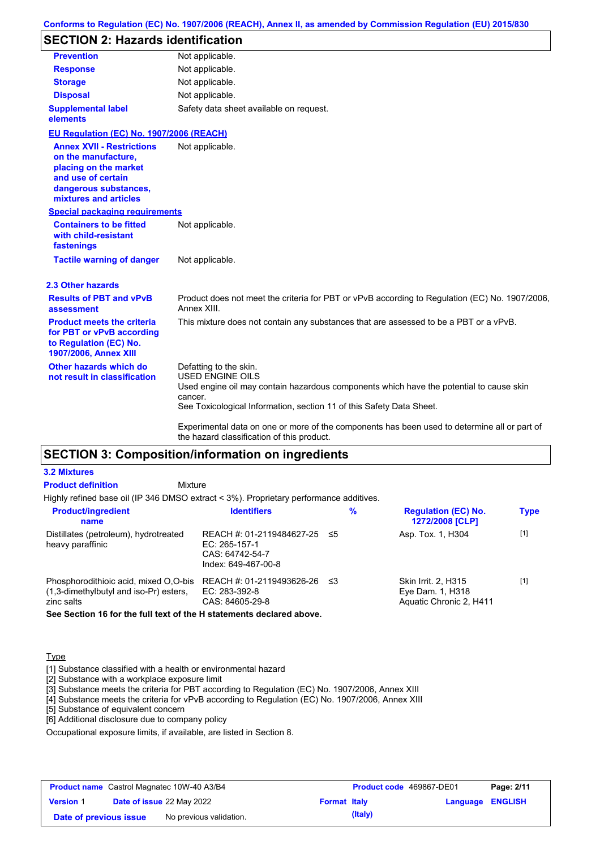### **Conforms to Regulation (EC) No. 1907/2006 (REACH), Annex II, as amended by Commission Regulation (EU) 2015/830**

# **SECTION 2: Hazards identification**

| <b>Prevention</b>                                                                                                                                        | Not applicable.                                                                                                                                                                                                                                                                                                                 |  |  |  |  |  |
|----------------------------------------------------------------------------------------------------------------------------------------------------------|---------------------------------------------------------------------------------------------------------------------------------------------------------------------------------------------------------------------------------------------------------------------------------------------------------------------------------|--|--|--|--|--|
| <b>Response</b>                                                                                                                                          | Not applicable.                                                                                                                                                                                                                                                                                                                 |  |  |  |  |  |
| <b>Storage</b>                                                                                                                                           | Not applicable.                                                                                                                                                                                                                                                                                                                 |  |  |  |  |  |
| <b>Disposal</b>                                                                                                                                          | Not applicable.                                                                                                                                                                                                                                                                                                                 |  |  |  |  |  |
| <b>Supplemental label</b><br>elements                                                                                                                    | Safety data sheet available on request.                                                                                                                                                                                                                                                                                         |  |  |  |  |  |
| EU Regulation (EC) No. 1907/2006 (REACH)                                                                                                                 |                                                                                                                                                                                                                                                                                                                                 |  |  |  |  |  |
| <b>Annex XVII - Restrictions</b><br>on the manufacture,<br>placing on the market<br>and use of certain<br>dangerous substances,<br>mixtures and articles | Not applicable.                                                                                                                                                                                                                                                                                                                 |  |  |  |  |  |
| <b>Special packaging requirements</b>                                                                                                                    |                                                                                                                                                                                                                                                                                                                                 |  |  |  |  |  |
| <b>Containers to be fitted</b><br>with child-resistant<br>fastenings                                                                                     | Not applicable.                                                                                                                                                                                                                                                                                                                 |  |  |  |  |  |
| <b>Tactile warning of danger</b>                                                                                                                         | Not applicable.                                                                                                                                                                                                                                                                                                                 |  |  |  |  |  |
| 2.3 Other hazards                                                                                                                                        |                                                                                                                                                                                                                                                                                                                                 |  |  |  |  |  |
| <b>Results of PBT and vPvB</b><br>assessment                                                                                                             | Product does not meet the criteria for PBT or vPvB according to Regulation (EC) No. 1907/2006,<br>Annex XIII.                                                                                                                                                                                                                   |  |  |  |  |  |
| <b>Product meets the criteria</b><br>for PBT or vPvB according<br>to Regulation (EC) No.<br>1907/2006, Annex XIII                                        | This mixture does not contain any substances that are assessed to be a PBT or a vPvB.                                                                                                                                                                                                                                           |  |  |  |  |  |
| Other hazards which do<br>not result in classification                                                                                                   | Defatting to the skin.<br><b>USED ENGINE OILS</b><br>Used engine oil may contain hazardous components which have the potential to cause skin<br>cancer.<br>See Toxicological Information, section 11 of this Safety Data Sheet.<br>Experimental data on one or more of the components has been used to determine all or part of |  |  |  |  |  |
|                                                                                                                                                          | the hazard classification of this product.                                                                                                                                                                                                                                                                                      |  |  |  |  |  |

# **SECTION 3: Composition/information on ingredients**

### **3.2 Mixtures**

| <b>Product definition</b>                                                                        | Mixture                                                                                 |     |                                                                    |             |
|--------------------------------------------------------------------------------------------------|-----------------------------------------------------------------------------------------|-----|--------------------------------------------------------------------|-------------|
| Highly refined base oil (IP 346 DMSO extract < 3%). Proprietary performance additives.           |                                                                                         |     |                                                                    |             |
| <b>Product/ingredient</b><br>name                                                                | <b>Identifiers</b>                                                                      | %   | <b>Regulation (EC) No.</b><br>1272/2008 [CLP]                      | <b>Type</b> |
| Distillates (petroleum), hydrotreated<br>heavy paraffinic                                        | REACH #: 01-2119484627-25 ≤5<br>EC: 265-157-1<br>CAS: 64742-54-7<br>Index: 649-467-00-8 |     | Asp. Tox. 1, H304                                                  | $[1]$       |
| Phosphorodithioic acid, mixed O.O-bis<br>$(1,3$ -dimethylbutyl and iso-Pr) esters,<br>zinc salts | REACH #: 01-2119493626-26<br>EC: 283-392-8<br>CAS: 84605-29-8                           | -≤3 | Skin Irrit. 2, H315<br>Eye Dam. 1, H318<br>Aquatic Chronic 2, H411 | $[1]$       |
|                                                                                                  |                                                                                         |     |                                                                    |             |

**See Section 16 for the full text of the H statements declared above.**

### **Type**

[1] Substance classified with a health or environmental hazard

[2] Substance with a workplace exposure limit

[3] Substance meets the criteria for PBT according to Regulation (EC) No. 1907/2006, Annex XIII

[4] Substance meets the criteria for vPvB according to Regulation (EC) No. 1907/2006, Annex XIII

[5] Substance of equivalent concern

[6] Additional disclosure due to company policy

Occupational exposure limits, if available, are listed in Section 8.

| <b>Product name</b> Castrol Magnatec 10W-40 A3/B4 |  | <b>Product code</b> 469867-DE01  |                     | Page: 2/11 |                         |  |
|---------------------------------------------------|--|----------------------------------|---------------------|------------|-------------------------|--|
| <b>Version 1</b>                                  |  | <b>Date of issue 22 May 2022</b> | <b>Format Italy</b> |            | <b>Language ENGLISH</b> |  |
| Date of previous issue                            |  | No previous validation.          |                     | (Italy)    |                         |  |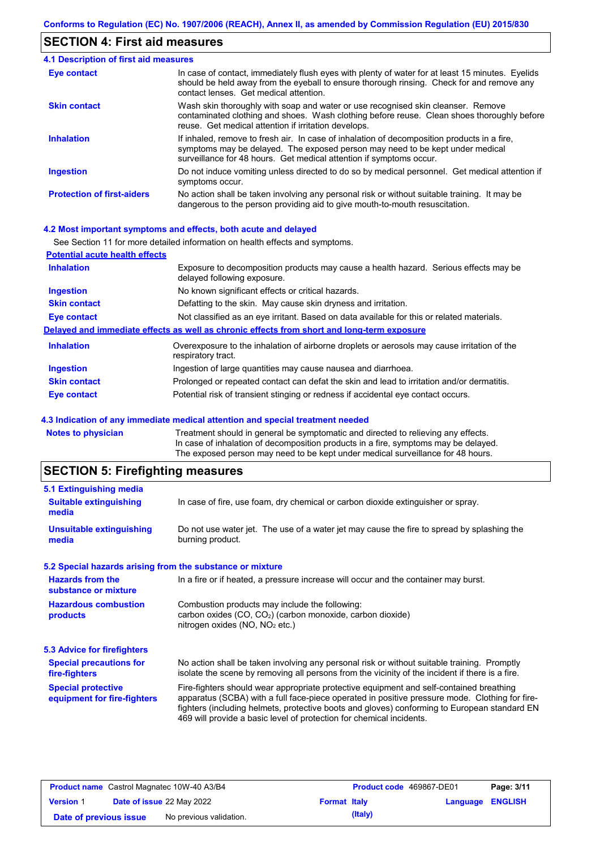## **SECTION 4: First aid measures**

| <b>4.1 Description of first aid measures</b> |                                                                                                                                                                                                                                                     |
|----------------------------------------------|-----------------------------------------------------------------------------------------------------------------------------------------------------------------------------------------------------------------------------------------------------|
| Eye contact                                  | In case of contact, immediately flush eyes with plenty of water for at least 15 minutes. Eyelids<br>should be held away from the eyeball to ensure thorough rinsing. Check for and remove any<br>contact lenses. Get medical attention.             |
| <b>Skin contact</b>                          | Wash skin thoroughly with soap and water or use recognised skin cleanser. Remove<br>contaminated clothing and shoes. Wash clothing before reuse. Clean shoes thoroughly before<br>reuse. Get medical attention if irritation develops.              |
| <b>Inhalation</b>                            | If inhaled, remove to fresh air. In case of inhalation of decomposition products in a fire,<br>symptoms may be delayed. The exposed person may need to be kept under medical<br>surveillance for 48 hours. Get medical attention if symptoms occur. |
| <b>Ingestion</b>                             | Do not induce vomiting unless directed to do so by medical personnel. Get medical attention if<br>symptoms occur.                                                                                                                                   |
| <b>Protection of first-aiders</b>            | No action shall be taken involving any personal risk or without suitable training. It may be<br>dangerous to the person providing aid to give mouth-to-mouth resuscitation.                                                                         |

### **4.2 Most important symptoms and effects, both acute and delayed**

|                                       | See Section 11 for more detailed information on health effects and symptoms.                                        |
|---------------------------------------|---------------------------------------------------------------------------------------------------------------------|
| <b>Potential acute health effects</b> |                                                                                                                     |
| <b>Inhalation</b>                     | Exposure to decomposition products may cause a health hazard. Serious effects may be<br>delayed following exposure. |
| <b>Ingestion</b>                      | No known significant effects or critical hazards.                                                                   |
| <b>Skin contact</b>                   | Defatting to the skin. May cause skin dryness and irritation.                                                       |
| Eye contact                           | Not classified as an eye irritant. Based on data available for this or related materials.                           |
|                                       | Delayed and immediate effects as well as chronic effects from short and long-term exposure                          |
| <b>Inhalation</b>                     | Overexposure to the inhalation of airborne droplets or aerosols may cause irritation of the<br>respiratory tract.   |
| <b>Ingestion</b>                      | Ingestion of large quantities may cause nausea and diarrhoea.                                                       |
| <b>Skin contact</b>                   | Prolonged or repeated contact can defat the skin and lead to irritation and/or dermatitis.                          |
| Eye contact                           | Potential risk of transient stinging or redness if accidental eye contact occurs.                                   |

### **4.3 Indication of any immediate medical attention and special treatment needed**

| Notes to physician | Treatment should in general be symptomatic and directed to relieving any effects.   |
|--------------------|-------------------------------------------------------------------------------------|
|                    | In case of inhalation of decomposition products in a fire, symptoms may be delayed. |
|                    | The exposed person may need to be kept under medical surveillance for 48 hours.     |
|                    |                                                                                     |

# **SECTION 5: Firefighting measures**

| In case of fire, use foam, dry chemical or carbon dioxide extinguisher or spray.                                                                                                                                                                                                                                                                                  |
|-------------------------------------------------------------------------------------------------------------------------------------------------------------------------------------------------------------------------------------------------------------------------------------------------------------------------------------------------------------------|
| Do not use water jet. The use of a water jet may cause the fire to spread by splashing the<br>burning product.                                                                                                                                                                                                                                                    |
| 5.2 Special hazards arising from the substance or mixture                                                                                                                                                                                                                                                                                                         |
| In a fire or if heated, a pressure increase will occur and the container may burst.                                                                                                                                                                                                                                                                               |
| Combustion products may include the following:<br>carbon oxides $(CO, CO2)$ (carbon monoxide, carbon dioxide)<br>nitrogen oxides (NO, NO <sub>2</sub> etc.)                                                                                                                                                                                                       |
|                                                                                                                                                                                                                                                                                                                                                                   |
| No action shall be taken involving any personal risk or without suitable training. Promptly<br>isolate the scene by removing all persons from the vicinity of the incident if there is a fire.                                                                                                                                                                    |
| Fire-fighters should wear appropriate protective equipment and self-contained breathing<br>apparatus (SCBA) with a full face-piece operated in positive pressure mode. Clothing for fire-<br>fighters (including helmets, protective boots and gloves) conforming to European standard EN<br>469 will provide a basic level of protection for chemical incidents. |
|                                                                                                                                                                                                                                                                                                                                                                   |

|                        | <b>Product name</b> Castrol Magnatec 10W-40 A3/B4 |                     | <b>Product code</b> 469867-DE01 |                         | Page: 3/11 |
|------------------------|---------------------------------------------------|---------------------|---------------------------------|-------------------------|------------|
| <b>Version 1</b>       | <b>Date of issue 22 May 2022</b>                  | <b>Format Italy</b> |                                 | <b>Language ENGLISH</b> |            |
| Date of previous issue | No previous validation.                           |                     | (Italy)                         |                         |            |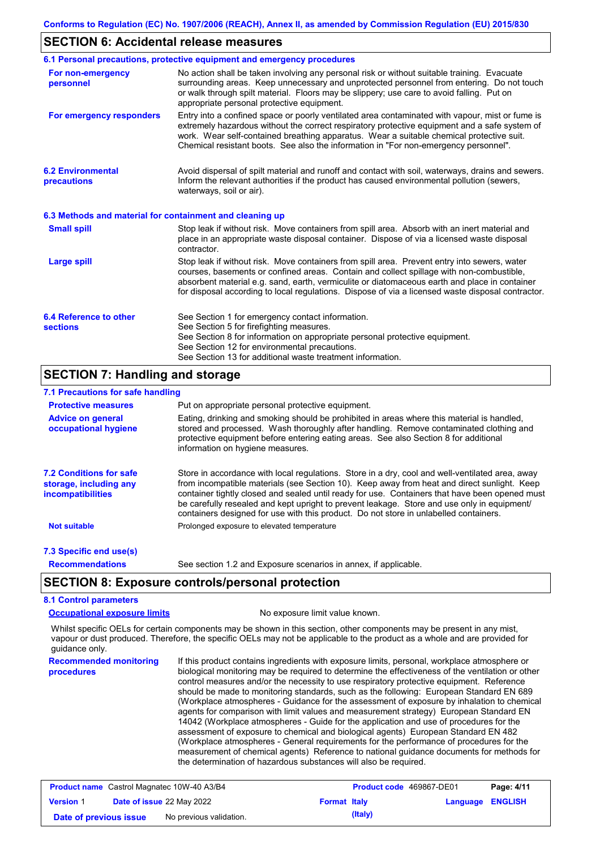### **SECTION 6: Accidental release measures**

|                                                          | 6.1 Personal precautions, protective equipment and emergency procedures                                                                                                                                                                                                                                                                                                                        |
|----------------------------------------------------------|------------------------------------------------------------------------------------------------------------------------------------------------------------------------------------------------------------------------------------------------------------------------------------------------------------------------------------------------------------------------------------------------|
| For non-emergency<br>personnel                           | No action shall be taken involving any personal risk or without suitable training. Evacuate<br>surrounding areas. Keep unnecessary and unprotected personnel from entering. Do not touch<br>or walk through spilt material. Floors may be slippery; use care to avoid falling. Put on<br>appropriate personal protective equipment.                                                            |
| For emergency responders                                 | Entry into a confined space or poorly ventilated area contaminated with vapour, mist or fume is<br>extremely hazardous without the correct respiratory protective equipment and a safe system of<br>work. Wear self-contained breathing apparatus. Wear a suitable chemical protective suit.<br>Chemical resistant boots. See also the information in "For non-emergency personnel".           |
| <b>6.2 Environmental</b><br>precautions                  | Avoid dispersal of spilt material and runoff and contact with soil, waterways, drains and sewers.<br>Inform the relevant authorities if the product has caused environmental pollution (sewers,<br>waterways, soil or air).                                                                                                                                                                    |
| 6.3 Methods and material for containment and cleaning up |                                                                                                                                                                                                                                                                                                                                                                                                |
| <b>Small spill</b>                                       | Stop leak if without risk. Move containers from spill area. Absorb with an inert material and<br>place in an appropriate waste disposal container. Dispose of via a licensed waste disposal<br>contractor.                                                                                                                                                                                     |
| <b>Large spill</b>                                       | Stop leak if without risk. Move containers from spill area. Prevent entry into sewers, water<br>courses, basements or confined areas. Contain and collect spillage with non-combustible,<br>absorbent material e.g. sand, earth, vermiculite or diatomaceous earth and place in container<br>for disposal according to local regulations. Dispose of via a licensed waste disposal contractor. |
| 6.4 Reference to other<br><b>sections</b>                | See Section 1 for emergency contact information.<br>See Section 5 for firefighting measures.<br>See Section 8 for information on appropriate personal protective equipment.                                                                                                                                                                                                                    |
|                                                          | See Section 12 for environmental precautions.                                                                                                                                                                                                                                                                                                                                                  |
|                                                          | See Section 13 for additional waste treatment information.                                                                                                                                                                                                                                                                                                                                     |

### **SECTION 7: Handling and storage**

### **7.1 Precautions for safe handling**

| <b>Protective measures</b>                                                    | Put on appropriate personal protective equipment.                                                                                                                                                                                                                                                                                                                                                                                                                                        |
|-------------------------------------------------------------------------------|------------------------------------------------------------------------------------------------------------------------------------------------------------------------------------------------------------------------------------------------------------------------------------------------------------------------------------------------------------------------------------------------------------------------------------------------------------------------------------------|
| <b>Advice on general</b><br>occupational hygiene                              | Eating, drinking and smoking should be prohibited in areas where this material is handled,<br>stored and processed. Wash thoroughly after handling. Remove contaminated clothing and<br>protective equipment before entering eating areas. See also Section 8 for additional<br>information on hygiene measures.                                                                                                                                                                         |
| <b>7.2 Conditions for safe</b><br>storage, including any<br>incompatibilities | Store in accordance with local requiations. Store in a dry, cool and well-ventilated area, away<br>from incompatible materials (see Section 10). Keep away from heat and direct sunlight. Keep<br>container tightly closed and sealed until ready for use. Containers that have been opened must<br>be carefully resealed and kept upright to prevent leakage. Store and use only in equipment/<br>containers designed for use with this product. Do not store in unlabelled containers. |
| <b>Not suitable</b>                                                           | Prolonged exposure to elevated temperature                                                                                                                                                                                                                                                                                                                                                                                                                                               |
| 7.3 Specific end use(s)                                                       |                                                                                                                                                                                                                                                                                                                                                                                                                                                                                          |
| <b>Recommendations</b>                                                        | See section 1.2 and Exposure scenarios in annex, if applicable.                                                                                                                                                                                                                                                                                                                                                                                                                          |

# **SECTION 8: Exposure controls/personal protection**

## **8.1 Control parameters**

**Occupational exposure limits** No exposure limit value known.

Whilst specific OELs for certain components may be shown in this section, other components may be present in any mist, vapour or dust produced. Therefore, the specific OELs may not be applicable to the product as a whole and are provided for guidance only.

**Recommended monitoring procedures** If this product contains ingredients with exposure limits, personal, workplace atmosphere or biological monitoring may be required to determine the effectiveness of the ventilation or other control measures and/or the necessity to use respiratory protective equipment. Reference should be made to monitoring standards, such as the following: European Standard EN 689 (Workplace atmospheres - Guidance for the assessment of exposure by inhalation to chemical agents for comparison with limit values and measurement strategy) European Standard EN 14042 (Workplace atmospheres - Guide for the application and use of procedures for the assessment of exposure to chemical and biological agents) European Standard EN 482 (Workplace atmospheres - General requirements for the performance of procedures for the measurement of chemical agents) Reference to national guidance documents for methods for the determination of hazardous substances will also be required.

| <b>Product name</b> Castrol Magnatec 10W-40 A3/B4 |  |                           | <b>Product code</b> 469867-DE01 |         | Page: 4/11              |  |
|---------------------------------------------------|--|---------------------------|---------------------------------|---------|-------------------------|--|
| <b>Version 1</b>                                  |  | Date of issue 22 May 2022 | <b>Format Italy</b>             |         | <b>Language ENGLISH</b> |  |
| Date of previous issue                            |  | No previous validation.   |                                 | (Italy) |                         |  |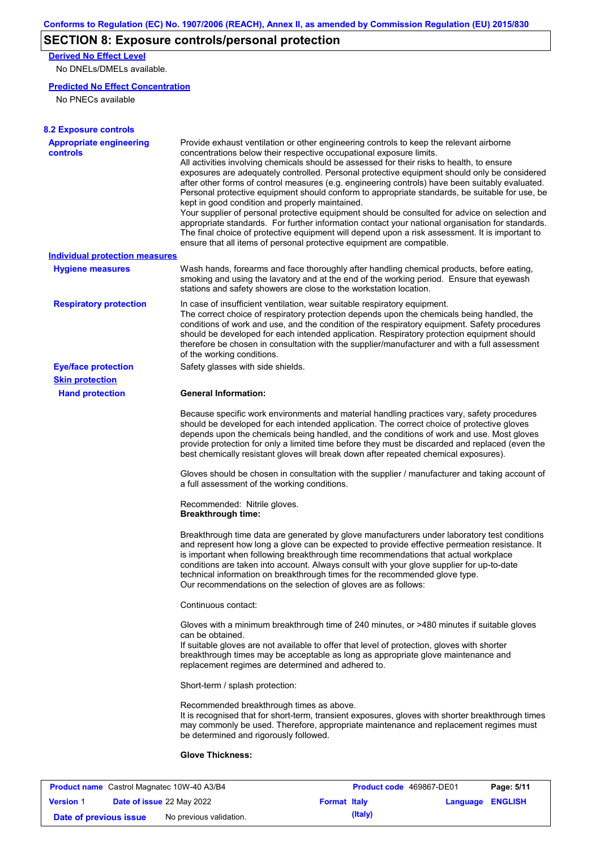# **SECTION 8: Exposure controls/personal protection**

**Derived No Effect Level**

No DNELs/DMELs available.

### **Predicted No Effect Concentration**

No PNECs available

| <b>Appropriate engineering</b><br><b>controls</b> | Provide exhaust ventilation or other engineering controls to keep the relevant airborne<br>concentrations below their respective occupational exposure limits.<br>All activities involving chemicals should be assessed for their risks to health, to ensure<br>exposures are adequately controlled. Personal protective equipment should only be considered<br>after other forms of control measures (e.g. engineering controls) have been suitably evaluated.<br>Personal protective equipment should conform to appropriate standards, be suitable for use, be<br>kept in good condition and properly maintained.<br>Your supplier of personal protective equipment should be consulted for advice on selection and<br>appropriate standards. For further information contact your national organisation for standards. |
|---------------------------------------------------|----------------------------------------------------------------------------------------------------------------------------------------------------------------------------------------------------------------------------------------------------------------------------------------------------------------------------------------------------------------------------------------------------------------------------------------------------------------------------------------------------------------------------------------------------------------------------------------------------------------------------------------------------------------------------------------------------------------------------------------------------------------------------------------------------------------------------|
|                                                   | The final choice of protective equipment will depend upon a risk assessment. It is important to<br>ensure that all items of personal protective equipment are compatible.                                                                                                                                                                                                                                                                                                                                                                                                                                                                                                                                                                                                                                                  |
| <b>Individual protection measures</b>             |                                                                                                                                                                                                                                                                                                                                                                                                                                                                                                                                                                                                                                                                                                                                                                                                                            |
| <b>Hygiene measures</b>                           | Wash hands, forearms and face thoroughly after handling chemical products, before eating,<br>smoking and using the lavatory and at the end of the working period. Ensure that eyewash<br>stations and safety showers are close to the workstation location.                                                                                                                                                                                                                                                                                                                                                                                                                                                                                                                                                                |
| <b>Respiratory protection</b>                     | In case of insufficient ventilation, wear suitable respiratory equipment.<br>The correct choice of respiratory protection depends upon the chemicals being handled, the<br>conditions of work and use, and the condition of the respiratory equipment. Safety procedures<br>should be developed for each intended application. Respiratory protection equipment should<br>therefore be chosen in consultation with the supplier/manufacturer and with a full assessment<br>of the working conditions.                                                                                                                                                                                                                                                                                                                      |
| <b>Eye/face protection</b>                        | Safety glasses with side shields.                                                                                                                                                                                                                                                                                                                                                                                                                                                                                                                                                                                                                                                                                                                                                                                          |
| <b>Skin protection</b>                            |                                                                                                                                                                                                                                                                                                                                                                                                                                                                                                                                                                                                                                                                                                                                                                                                                            |
| <b>Hand protection</b>                            | <b>General Information:</b>                                                                                                                                                                                                                                                                                                                                                                                                                                                                                                                                                                                                                                                                                                                                                                                                |
|                                                   | Because specific work environments and material handling practices vary, safety procedures<br>should be developed for each intended application. The correct choice of protective gloves<br>depends upon the chemicals being handled, and the conditions of work and use. Most gloves<br>provide protection for only a limited time before they must be discarded and replaced (even the<br>best chemically resistant gloves will break down after repeated chemical exposures).                                                                                                                                                                                                                                                                                                                                           |
|                                                   | Gloves should be chosen in consultation with the supplier / manufacturer and taking account of<br>a full assessment of the working conditions.                                                                                                                                                                                                                                                                                                                                                                                                                                                                                                                                                                                                                                                                             |
|                                                   | Recommended: Nitrile gloves.<br><b>Breakthrough time:</b>                                                                                                                                                                                                                                                                                                                                                                                                                                                                                                                                                                                                                                                                                                                                                                  |
|                                                   | Breakthrough time data are generated by glove manufacturers under laboratory test conditions<br>and represent how long a glove can be expected to provide effective permeation resistance. It<br>is important when following breakthrough time recommendations that actual workplace<br>conditions are taken into account. Always consult with your glove supplier for up-to-date<br>technical information on breakthrough times for the recommended glove type.<br>Our recommendations on the selection of gloves are as follows:                                                                                                                                                                                                                                                                                         |
|                                                   | Continuous contact:                                                                                                                                                                                                                                                                                                                                                                                                                                                                                                                                                                                                                                                                                                                                                                                                        |
|                                                   | Gloves with a minimum breakthrough time of 240 minutes, or >480 minutes if suitable gloves<br>can be obtained.<br>If suitable gloves are not available to offer that level of protection, gloves with shorter<br>breakthrough times may be acceptable as long as appropriate glove maintenance and<br>replacement regimes are determined and adhered to.                                                                                                                                                                                                                                                                                                                                                                                                                                                                   |
|                                                   | Short-term / splash protection:                                                                                                                                                                                                                                                                                                                                                                                                                                                                                                                                                                                                                                                                                                                                                                                            |
|                                                   | Recommended breakthrough times as above.<br>It is recognised that for short-term, transient exposures, gloves with shorter breakthrough times<br>may commonly be used. Therefore, appropriate maintenance and replacement regimes must<br>be determined and rigorously followed.                                                                                                                                                                                                                                                                                                                                                                                                                                                                                                                                           |
|                                                   |                                                                                                                                                                                                                                                                                                                                                                                                                                                                                                                                                                                                                                                                                                                                                                                                                            |

|                        | <b>Product name</b> Castrol Magnatec 10W-40 A3/B4 |                     | <b>Product code</b> 469867-DE01 |                         | Page: 5/11 |
|------------------------|---------------------------------------------------|---------------------|---------------------------------|-------------------------|------------|
| <b>Version 1</b>       | <b>Date of issue 22 May 2022</b>                  | <b>Format Italy</b> |                                 | <b>Language ENGLISH</b> |            |
| Date of previous issue | No previous validation.                           |                     | (Italy)                         |                         |            |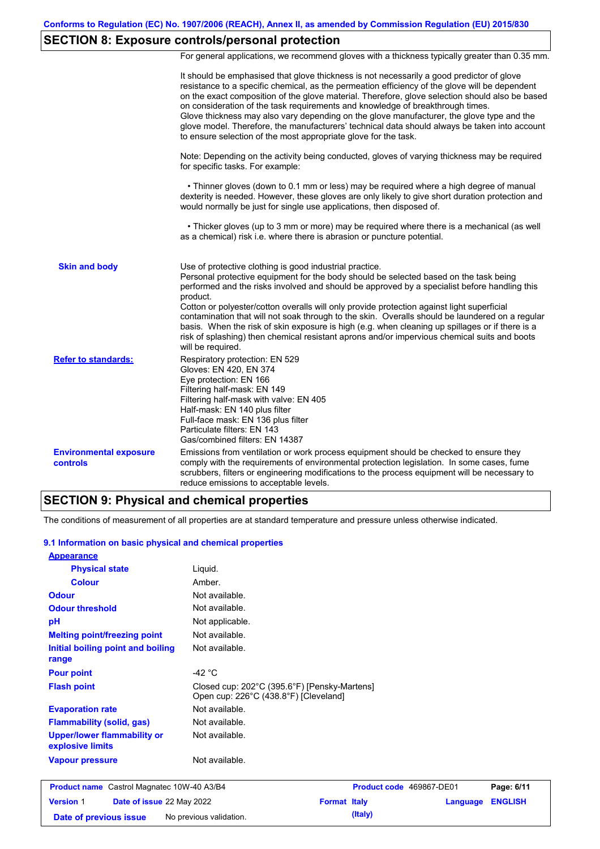# **SECTION 8: Exposure controls/personal protection**

For general applications, we recommend gloves with a thickness typically greater than 0.35 mm.

|                                                  | It should be emphasised that glove thickness is not necessarily a good predictor of glove<br>resistance to a specific chemical, as the permeation efficiency of the glove will be dependent<br>on the exact composition of the glove material. Therefore, glove selection should also be based<br>on consideration of the task requirements and knowledge of breakthrough times.<br>Glove thickness may also vary depending on the glove manufacturer, the glove type and the<br>glove model. Therefore, the manufacturers' technical data should always be taken into account<br>to ensure selection of the most appropriate glove for the task.                                     |
|--------------------------------------------------|---------------------------------------------------------------------------------------------------------------------------------------------------------------------------------------------------------------------------------------------------------------------------------------------------------------------------------------------------------------------------------------------------------------------------------------------------------------------------------------------------------------------------------------------------------------------------------------------------------------------------------------------------------------------------------------|
|                                                  | Note: Depending on the activity being conducted, gloves of varying thickness may be required<br>for specific tasks. For example:                                                                                                                                                                                                                                                                                                                                                                                                                                                                                                                                                      |
|                                                  | • Thinner gloves (down to 0.1 mm or less) may be required where a high degree of manual<br>dexterity is needed. However, these gloves are only likely to give short duration protection and<br>would normally be just for single use applications, then disposed of.                                                                                                                                                                                                                                                                                                                                                                                                                  |
|                                                  | • Thicker gloves (up to 3 mm or more) may be required where there is a mechanical (as well<br>as a chemical) risk i.e. where there is abrasion or puncture potential.                                                                                                                                                                                                                                                                                                                                                                                                                                                                                                                 |
| <b>Skin and body</b>                             | Use of protective clothing is good industrial practice.<br>Personal protective equipment for the body should be selected based on the task being<br>performed and the risks involved and should be approved by a specialist before handling this<br>product.<br>Cotton or polyester/cotton overalls will only provide protection against light superficial<br>contamination that will not soak through to the skin. Overalls should be laundered on a regular<br>basis. When the risk of skin exposure is high (e.g. when cleaning up spillages or if there is a<br>risk of splashing) then chemical resistant aprons and/or impervious chemical suits and boots<br>will be required. |
| <b>Refer to standards:</b>                       | Respiratory protection: EN 529<br>Gloves: EN 420, EN 374<br>Eye protection: EN 166<br>Filtering half-mask: EN 149<br>Filtering half-mask with valve: EN 405<br>Half-mask: EN 140 plus filter<br>Full-face mask: EN 136 plus filter<br>Particulate filters: EN 143<br>Gas/combined filters: EN 14387                                                                                                                                                                                                                                                                                                                                                                                   |
| <b>Environmental exposure</b><br><b>controls</b> | Emissions from ventilation or work process equipment should be checked to ensure they<br>comply with the requirements of environmental protection legislation. In some cases, fume<br>scrubbers, filters or engineering modifications to the process equipment will be necessary to<br>reduce emissions to acceptable levels.                                                                                                                                                                                                                                                                                                                                                         |

### **SECTION 9: Physical and chemical properties**

**Date of previous issue** No previous validation. **(Italy)** (Italy)

The conditions of measurement of all properties are at standard temperature and pressure unless otherwise indicated.

#### **9.1 Information on basic physical and chemical properties**

| <b>Appearance</b>                                      |                                                                                       |                     |                          |                |
|--------------------------------------------------------|---------------------------------------------------------------------------------------|---------------------|--------------------------|----------------|
| <b>Physical state</b>                                  | Liquid.                                                                               |                     |                          |                |
| <b>Colour</b>                                          | Amber.                                                                                |                     |                          |                |
| <b>Odour</b>                                           | Not available.                                                                        |                     |                          |                |
| <b>Odour threshold</b>                                 | Not available.                                                                        |                     |                          |                |
| pH                                                     | Not applicable.                                                                       |                     |                          |                |
| <b>Melting point/freezing point</b>                    | Not available.                                                                        |                     |                          |                |
| Initial boiling point and boiling<br>range             | Not available.                                                                        |                     |                          |                |
| <b>Pour point</b>                                      | -42 $^{\circ}$ C                                                                      |                     |                          |                |
| <b>Flash point</b>                                     | Closed cup: 202°C (395.6°F) [Pensky-Martens]<br>Open cup: 226°C (438.8°F) [Cleveland] |                     |                          |                |
| <b>Evaporation rate</b>                                | Not available.                                                                        |                     |                          |                |
| <b>Flammability (solid, gas)</b>                       | Not available.                                                                        |                     |                          |                |
| <b>Upper/lower flammability or</b><br>explosive limits | Not available.                                                                        |                     |                          |                |
| <b>Vapour pressure</b>                                 | Not available.                                                                        |                     |                          |                |
| <b>Product name</b> Castrol Magnatec 10W-40 A3/B4      |                                                                                       |                     | Product code 469867-DE01 | Page: 6/11     |
| <b>Version 1</b><br>Date of issue 22 May 2022          |                                                                                       | <b>Format Italy</b> | <b>Language</b>          | <b>ENGLISH</b> |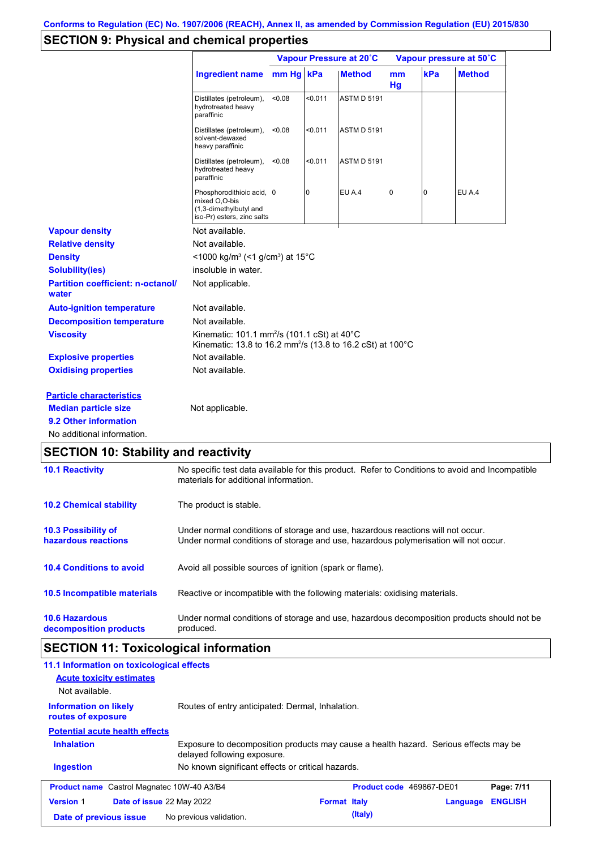# **SECTION 9: Physical and chemical properties**

|                                                     |                                                                                                                                              |           | Vapour Pressure at 20°C |                    | Vapour pressure at 50°C |     |               |
|-----------------------------------------------------|----------------------------------------------------------------------------------------------------------------------------------------------|-----------|-------------------------|--------------------|-------------------------|-----|---------------|
|                                                     | <b>Ingredient name</b>                                                                                                                       | mm Hg kPa |                         | <b>Method</b>      | mm<br>Hg                | kPa | <b>Method</b> |
|                                                     | Distillates (petroleum),<br>hydrotreated heavy<br>paraffinic                                                                                 | < 0.08    | < 0.011                 | <b>ASTM D 5191</b> |                         |     |               |
|                                                     | Distillates (petroleum),<br>solvent-dewaxed<br>heavy paraffinic                                                                              | < 0.08    | < 0.011                 | <b>ASTM D 5191</b> |                         |     |               |
|                                                     | Distillates (petroleum),<br>hydrotreated heavy<br>paraffinic                                                                                 | < 0.08    | < 0.011                 | <b>ASTM D 5191</b> |                         |     |               |
|                                                     | Phosphorodithioic acid, 0<br>mixed O,O-bis<br>(1,3-dimethylbutyl and<br>iso-Pr) esters, zinc salts                                           |           | 0                       | <b>EU A.4</b>      | 0                       | 0   | EU A.4        |
| <b>Vapour density</b>                               | Not available.                                                                                                                               |           |                         |                    |                         |     |               |
| <b>Relative density</b>                             | Not available.                                                                                                                               |           |                         |                    |                         |     |               |
| <b>Density</b>                                      | <1000 kg/m <sup>3</sup> (<1 g/cm <sup>3</sup> ) at 15 <sup>°</sup> C                                                                         |           |                         |                    |                         |     |               |
| <b>Solubility(ies)</b>                              | insoluble in water.                                                                                                                          |           |                         |                    |                         |     |               |
| <b>Partition coefficient: n-octanol/</b><br>water   | Not applicable.                                                                                                                              |           |                         |                    |                         |     |               |
| <b>Auto-ignition temperature</b>                    | Not available.                                                                                                                               |           |                         |                    |                         |     |               |
| <b>Decomposition temperature</b>                    | Not available.                                                                                                                               |           |                         |                    |                         |     |               |
| <b>Viscosity</b>                                    | Kinematic: 101.1 mm <sup>2</sup> /s (101.1 cSt) at 40 $^{\circ}$ C<br>Kinematic: 13.8 to 16.2 mm <sup>2</sup> /s (13.8 to 16.2 cSt) at 100°C |           |                         |                    |                         |     |               |
| <b>Explosive properties</b>                         | Not available.                                                                                                                               |           |                         |                    |                         |     |               |
| <b>Oxidising properties</b>                         | Not available.                                                                                                                               |           |                         |                    |                         |     |               |
| <b>Particle characteristics</b>                     |                                                                                                                                              |           |                         |                    |                         |     |               |
| <b>Median particle size</b>                         | Not applicable.                                                                                                                              |           |                         |                    |                         |     |               |
|                                                     |                                                                                                                                              |           |                         |                    |                         |     |               |
| 9.2 Other information<br>No additional information. |                                                                                                                                              |           |                         |                    |                         |     |               |

| <b>10.1 Reactivity</b>                            | No specific test data available for this product. Refer to Conditions to avoid and Incompatible<br>materials for additional information.                                |
|---------------------------------------------------|-------------------------------------------------------------------------------------------------------------------------------------------------------------------------|
| <b>10.2 Chemical stability</b>                    | The product is stable.                                                                                                                                                  |
| <b>10.3 Possibility of</b><br>hazardous reactions | Under normal conditions of storage and use, hazardous reactions will not occur.<br>Under normal conditions of storage and use, hazardous polymerisation will not occur. |
| <b>10.4 Conditions to avoid</b>                   | Avoid all possible sources of ignition (spark or flame).                                                                                                                |
| <b>10.5 Incompatible materials</b>                | Reactive or incompatible with the following materials: oxidising materials.                                                                                             |
| <b>10.6 Hazardous</b><br>decomposition products   | Under normal conditions of storage and use, hazardous decomposition products should not be<br>produced.                                                                 |

# **SECTION 11: Toxicological information**

| 11.1 Information on toxicological effects<br><b>Acute toxicity estimates</b><br>Not available.                                           |                                                   |                     |                          |          |                |
|------------------------------------------------------------------------------------------------------------------------------------------|---------------------------------------------------|---------------------|--------------------------|----------|----------------|
| Routes of entry anticipated: Dermal, Inhalation.<br><b>Information on likely</b><br>routes of exposure                                   |                                                   |                     |                          |          |                |
| <b>Potential acute health effects</b>                                                                                                    |                                                   |                     |                          |          |                |
| <b>Inhalation</b><br>Exposure to decomposition products may cause a health hazard. Serious effects may be<br>delayed following exposure. |                                                   |                     |                          |          |                |
| <b>Ingestion</b>                                                                                                                         | No known significant effects or critical hazards. |                     |                          |          |                |
| <b>Product name</b> Castrol Magnatec 10W-40 A3/B4                                                                                        |                                                   |                     | Product code 469867-DE01 |          | Page: 7/11     |
| <b>Version 1</b><br><b>Date of issue 22 May 2022</b>                                                                                     |                                                   | <b>Format Italy</b> |                          | Language | <b>ENGLISH</b> |
| Date of previous issue                                                                                                                   | No previous validation.                           |                     | (Italy)                  |          |                |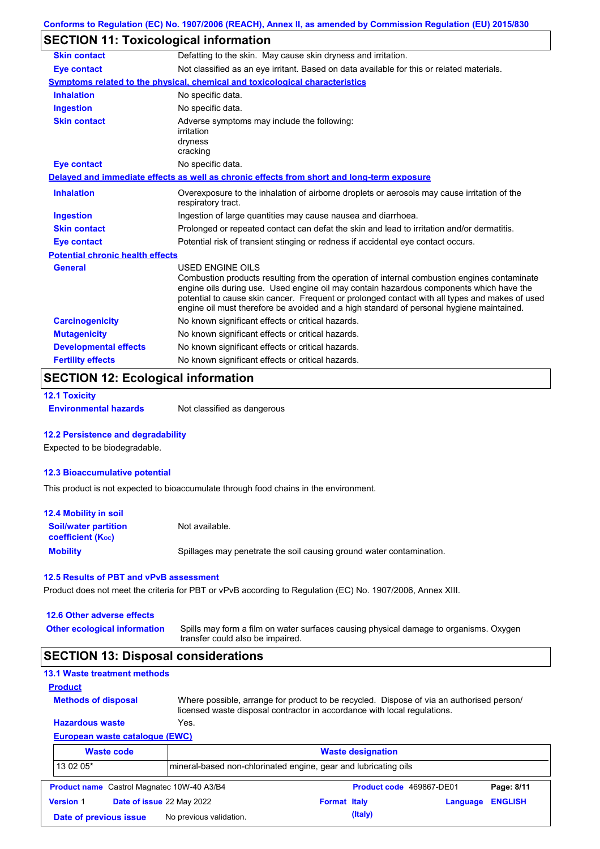# **SECTION 11: Toxicological information**

| <b>Skin contact</b>                     | Defatting to the skin. May cause skin dryness and irritation.                                                                                                                                                                                                                                                                                                                                                   |  |  |  |  |
|-----------------------------------------|-----------------------------------------------------------------------------------------------------------------------------------------------------------------------------------------------------------------------------------------------------------------------------------------------------------------------------------------------------------------------------------------------------------------|--|--|--|--|
| <b>Eye contact</b>                      | Not classified as an eye irritant. Based on data available for this or related materials.                                                                                                                                                                                                                                                                                                                       |  |  |  |  |
|                                         | Symptoms related to the physical, chemical and toxicological characteristics                                                                                                                                                                                                                                                                                                                                    |  |  |  |  |
| <b>Inhalation</b>                       | No specific data.                                                                                                                                                                                                                                                                                                                                                                                               |  |  |  |  |
| <b>Ingestion</b>                        | No specific data.                                                                                                                                                                                                                                                                                                                                                                                               |  |  |  |  |
| <b>Skin contact</b>                     | Adverse symptoms may include the following:<br>irritation<br>dryness<br>cracking                                                                                                                                                                                                                                                                                                                                |  |  |  |  |
| <b>Eye contact</b>                      | No specific data.                                                                                                                                                                                                                                                                                                                                                                                               |  |  |  |  |
|                                         | Delayed and immediate effects as well as chronic effects from short and long-term exposure                                                                                                                                                                                                                                                                                                                      |  |  |  |  |
| <b>Inhalation</b>                       | Overexposure to the inhalation of airborne droplets or aerosols may cause irritation of the<br>respiratory tract.                                                                                                                                                                                                                                                                                               |  |  |  |  |
| <b>Ingestion</b>                        | Ingestion of large quantities may cause nausea and diarrhoea.                                                                                                                                                                                                                                                                                                                                                   |  |  |  |  |
| <b>Skin contact</b>                     | Prolonged or repeated contact can defat the skin and lead to irritation and/or dermatitis.                                                                                                                                                                                                                                                                                                                      |  |  |  |  |
| <b>Eye contact</b>                      | Potential risk of transient stinging or redness if accidental eye contact occurs.                                                                                                                                                                                                                                                                                                                               |  |  |  |  |
| <b>Potential chronic health effects</b> |                                                                                                                                                                                                                                                                                                                                                                                                                 |  |  |  |  |
| General                                 | <b>USED ENGINE OILS</b><br>Combustion products resulting from the operation of internal combustion engines contaminate<br>engine oils during use. Used engine oil may contain hazardous components which have the<br>potential to cause skin cancer. Frequent or prolonged contact with all types and makes of used<br>engine oil must therefore be avoided and a high standard of personal hygiene maintained. |  |  |  |  |
| <b>Carcinogenicity</b>                  | No known significant effects or critical hazards.                                                                                                                                                                                                                                                                                                                                                               |  |  |  |  |
| <b>Mutagenicity</b>                     | No known significant effects or critical hazards.                                                                                                                                                                                                                                                                                                                                                               |  |  |  |  |
| <b>Developmental effects</b>            | No known significant effects or critical hazards.                                                                                                                                                                                                                                                                                                                                                               |  |  |  |  |
| <b>Fertility effects</b>                | No known significant effects or critical hazards.                                                                                                                                                                                                                                                                                                                                                               |  |  |  |  |

# **SECTION 12: Ecological information**

```
12.1 Toxicity
```
**Environmental hazards** Not classified as dangerous

### **12.2 Persistence and degradability**

Expected to be biodegradable.

#### **12.3 Bioaccumulative potential**

This product is not expected to bioaccumulate through food chains in the environment.

| <b>12.4 Mobility in soil</b>                                  |                                                                      |
|---------------------------------------------------------------|----------------------------------------------------------------------|
| <b>Soil/water partition</b><br>coefficient (K <sub>oc</sub> ) | Not available.                                                       |
| <b>Mobility</b>                                               | Spillages may penetrate the soil causing ground water contamination. |

#### **12.5 Results of PBT and vPvB assessment**

Product does not meet the criteria for PBT or vPvB according to Regulation (EC) No. 1907/2006, Annex XIII.

| 12.6 Other adverse effects<br><b>Other ecological information</b> | Spills may form a film on water surfaces causing physical damage to organisms. Oxygen<br>transfer could also be impaired. |
|-------------------------------------------------------------------|---------------------------------------------------------------------------------------------------------------------------|
| <b>SECTION 13: Disposal considerations</b>                        |                                                                                                                           |
| <b>13.1 Waste treatment methods</b>                               |                                                                                                                           |

|                | 13.1 Waste treatment methods |  |
|----------------|------------------------------|--|
| <b>Product</b> |                              |  |

**Methods of disposal**

**Hazardous waste** Yes. Where possible, arrange for product to be recycled. Dispose of via an authorised person/ licensed waste disposal contractor in accordance with local regulations.

### **European waste catalogue (EWC)**

| <b>Waste code</b> |                                                   | <b>Waste designation</b>                                        |                     |                          |          |                |
|-------------------|---------------------------------------------------|-----------------------------------------------------------------|---------------------|--------------------------|----------|----------------|
| 13 02 05*         |                                                   | mineral-based non-chlorinated engine, gear and lubricating oils |                     |                          |          |                |
|                   | <b>Product name</b> Castrol Magnatec 10W-40 A3/B4 |                                                                 |                     | Product code 469867-DE01 |          | Page: 8/11     |
| <b>Version 1</b>  | Date of issue 22 May 2022                         |                                                                 | <b>Format Italy</b> |                          | Language | <b>ENGLISH</b> |
|                   | Date of previous issue                            | No previous validation.                                         |                     | (Italy)                  |          |                |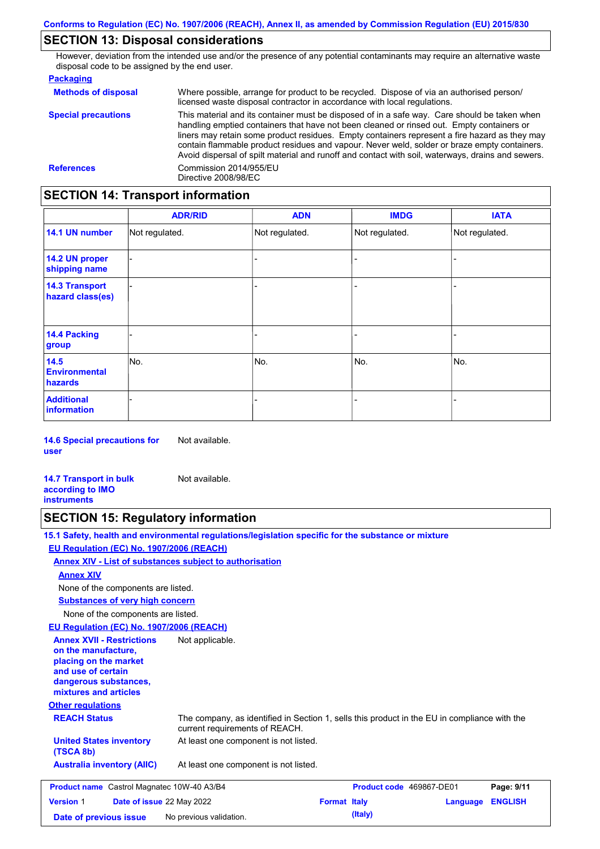### **SECTION 13: Disposal considerations**

However, deviation from the intended use and/or the presence of any potential contaminants may require an alternative waste disposal code to be assigned by the end user.

#### **Packaging**

| <b>Methods of disposal</b> | Where possible, arrange for product to be recycled. Dispose of via an authorised person/<br>licensed waste disposal contractor in accordance with local regulations.                                                                                                                                                                                                                                                                                                                            |
|----------------------------|-------------------------------------------------------------------------------------------------------------------------------------------------------------------------------------------------------------------------------------------------------------------------------------------------------------------------------------------------------------------------------------------------------------------------------------------------------------------------------------------------|
| <b>Special precautions</b> | This material and its container must be disposed of in a safe way. Care should be taken when<br>handling emptied containers that have not been cleaned or rinsed out. Empty containers or<br>liners may retain some product residues. Empty containers represent a fire hazard as they may<br>contain flammable product residues and vapour. Never weld, solder or braze empty containers.<br>Avoid dispersal of spilt material and runoff and contact with soil, waterways, drains and sewers. |
| <b>References</b>          | Commission 2014/955/EU<br>Directive 2008/98/EC                                                                                                                                                                                                                                                                                                                                                                                                                                                  |

### **SECTION 14: Transport information**

|                                           | <b>ADR/RID</b> | <b>ADN</b>     | <b>IMDG</b>    | <b>IATA</b>    |  |
|-------------------------------------------|----------------|----------------|----------------|----------------|--|
| 14.1 UN number                            | Not regulated. | Not regulated. | Not regulated. | Not regulated. |  |
| 14.2 UN proper<br>shipping name           |                |                | -              |                |  |
| <b>14.3 Transport</b><br>hazard class(es) |                |                | $\blacksquare$ |                |  |
| 14.4 Packing<br>group                     |                |                | -              |                |  |
| 14.5<br><b>Environmental</b><br>hazards   | No.            | No.            | No.            | No.            |  |
| <b>Additional</b><br><b>information</b>   |                |                |                |                |  |

**14.6 Special precautions for user** Not available.

**14.7 Transport in bulk according to IMO instruments** Not available.

### **SECTION 15: Regulatory information**

**15.1 Safety, health and environmental regulations/legislation specific for the substance or mixture**

### **EU Regulation (EC) No. 1907/2006 (REACH)**

**Annex XIV - List of substances subject to authorisation**

#### **Annex XIV**

None of the components are listed.

**Substances of very high concern**

None of the components are listed.

#### **EU Regulation (EC) No. 1907/2006 (REACH)**

**Other regulations REACH Status** The company, as identified in Section 1, sells this product in the EU in compliance with the current requirements of REACH. At least one component is not listed. **United States inventory** At least one component is not listed. **(TSCA 8b) Australia inventory (AIIC) Annex XVII - Restrictions on the manufacture, placing on the market and use of certain dangerous substances, mixtures and articles** Not applicable. **Product name** Castrol Magnatec 10W-40 A3/B4 **Product code 469867-DE01 Page: 9/11 Version** 1 **Date of issue** 22 May 2022 **Format Italy Language ENGLISH Date of previous issue** No previous validation. **Conservation** (Italy)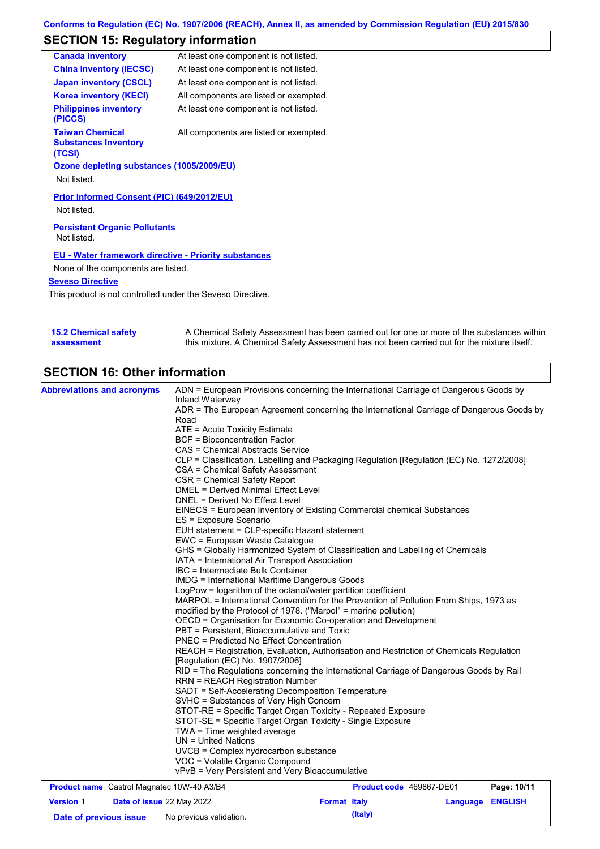# **SECTION 15: Regulatory information**

| <b>Canada inventory</b>                                         | At least one component is not listed.                       |
|-----------------------------------------------------------------|-------------------------------------------------------------|
| <b>China inventory (IECSC)</b>                                  | At least one component is not listed.                       |
| <b>Japan inventory (CSCL)</b>                                   | At least one component is not listed.                       |
| <b>Korea inventory (KECI)</b>                                   | All components are listed or exempted.                      |
| <b>Philippines inventory</b><br>(PICCS)                         | At least one component is not listed.                       |
| <b>Taiwan Chemical</b><br><b>Substances Inventory</b><br>(TCSI) | All components are listed or exempted.                      |
|                                                                 | Ozone depleting substances (1005/2009/EU)                   |
| Not listed.                                                     |                                                             |
| Not listed.                                                     | Prior Informed Consent (PIC) (649/2012/EU)                  |
| <b>Persistent Organic Pollutants</b><br>Not listed.             |                                                             |
|                                                                 | <b>EU - Water framework directive - Priority substances</b> |
| None of the components are listed.                              |                                                             |
| <b>Seveso Directive</b>                                         |                                                             |
|                                                                 | This product is not controlled under the Seveso Directive.  |

| <b>15.2 Chemical safety</b> | A Chemical Safety Assessment has been carried out for one or more of the substances within  |
|-----------------------------|---------------------------------------------------------------------------------------------|
| assessment                  | this mixture. A Chemical Safety Assessment has not been carried out for the mixture itself. |

# **SECTION 16: Other information**

| <b>Abbreviations and acronyms</b>                 | ADN = European Provisions concerning the International Carriage of Dangerous Goods by                                            |                          |             |
|---------------------------------------------------|----------------------------------------------------------------------------------------------------------------------------------|--------------------------|-------------|
|                                                   | Inland Waterway<br>ADR = The European Agreement concerning the International Carriage of Dangerous Goods by                      |                          |             |
|                                                   | Road                                                                                                                             |                          |             |
|                                                   | ATE = Acute Toxicity Estimate                                                                                                    |                          |             |
|                                                   | <b>BCF</b> = Bioconcentration Factor                                                                                             |                          |             |
|                                                   | CAS = Chemical Abstracts Service                                                                                                 |                          |             |
|                                                   | CLP = Classification, Labelling and Packaging Regulation [Regulation (EC) No. 1272/2008]                                         |                          |             |
|                                                   | CSA = Chemical Safety Assessment                                                                                                 |                          |             |
|                                                   | CSR = Chemical Safety Report                                                                                                     |                          |             |
|                                                   | <b>DMEL = Derived Minimal Effect Level</b>                                                                                       |                          |             |
|                                                   | DNEL = Derived No Effect Level                                                                                                   |                          |             |
|                                                   | EINECS = European Inventory of Existing Commercial chemical Substances<br>ES = Exposure Scenario                                 |                          |             |
|                                                   | EUH statement = CLP-specific Hazard statement                                                                                    |                          |             |
|                                                   | EWC = European Waste Catalogue                                                                                                   |                          |             |
|                                                   | GHS = Globally Harmonized System of Classification and Labelling of Chemicals                                                    |                          |             |
|                                                   | IATA = International Air Transport Association                                                                                   |                          |             |
|                                                   | IBC = Intermediate Bulk Container                                                                                                |                          |             |
|                                                   | <b>IMDG = International Maritime Dangerous Goods</b>                                                                             |                          |             |
|                                                   | LogPow = logarithm of the octanol/water partition coefficient                                                                    |                          |             |
|                                                   | MARPOL = International Convention for the Prevention of Pollution From Ships, 1973 as                                            |                          |             |
|                                                   | modified by the Protocol of 1978. ("Marpol" = marine pollution)<br>OECD = Organisation for Economic Co-operation and Development |                          |             |
|                                                   | PBT = Persistent, Bioaccumulative and Toxic                                                                                      |                          |             |
|                                                   | PNEC = Predicted No Effect Concentration                                                                                         |                          |             |
|                                                   | REACH = Registration, Evaluation, Authorisation and Restriction of Chemicals Regulation                                          |                          |             |
|                                                   | [Regulation (EC) No. 1907/2006]                                                                                                  |                          |             |
|                                                   | RID = The Regulations concerning the International Carriage of Dangerous Goods by Rail                                           |                          |             |
|                                                   | <b>RRN = REACH Registration Number</b>                                                                                           |                          |             |
|                                                   | SADT = Self-Accelerating Decomposition Temperature                                                                               |                          |             |
|                                                   | SVHC = Substances of Very High Concern                                                                                           |                          |             |
|                                                   | STOT-RE = Specific Target Organ Toxicity - Repeated Exposure<br>STOT-SE = Specific Target Organ Toxicity - Single Exposure       |                          |             |
|                                                   | TWA = Time weighted average                                                                                                      |                          |             |
|                                                   | $UN = United Nations$                                                                                                            |                          |             |
|                                                   | UVCB = Complex hydrocarbon substance                                                                                             |                          |             |
|                                                   | VOC = Volatile Organic Compound                                                                                                  |                          |             |
|                                                   | vPvB = Very Persistent and Very Bioaccumulative                                                                                  |                          |             |
|                                                   |                                                                                                                                  |                          |             |
| <b>Product name</b> Castrol Magnatec 10W-40 A3/B4 |                                                                                                                                  | Product code 469867-DE01 | Page: 10/11 |

**Date of previous issue** No previous validation. **(Italy)** (Italy)